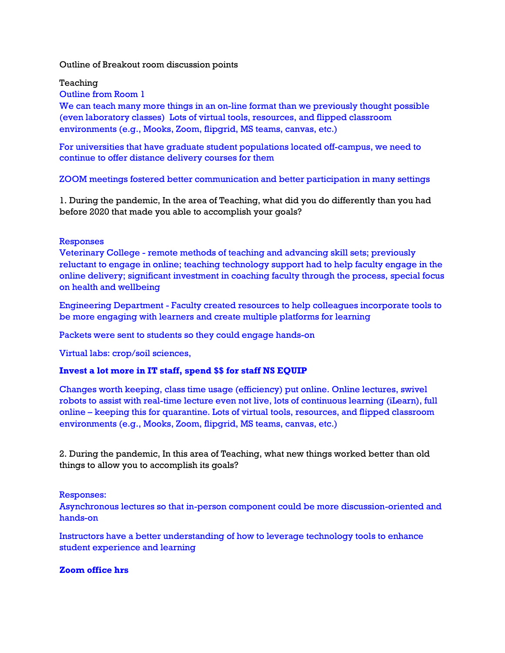Outline of Breakout room discussion points

Teaching

Outline from Room 1

We can teach many more things in an on-line format than we previously thought possible (even laboratory classes) Lots of virtual tools, resources, and flipped classroom environments (e.g., Mooks, Zoom, flipgrid, MS teams, canvas, etc.)

For universities that have graduate student populations located off-campus, we need to continue to offer distance delivery courses for them

ZOOM meetings fostered better communication and better participation in many settings

1. During the pandemic, In the area of Teaching, what did you do differently than you had before 2020 that made you able to accomplish your goals?

## Responses

Veterinary College - remote methods of teaching and advancing skill sets; previously reluctant to engage in online; teaching technology support had to help faculty engage in the online delivery; significant investment in coaching faculty through the process, special focus on health and wellbeing

Engineering Department - Faculty created resources to help colleagues incorporate tools to be more engaging with learners and create multiple platforms for learning

Packets were sent to students so they could engage hands-on

Virtual labs: crop/soil sciences,

## **Invest a lot more in IT staff, spend \$\$ for staff NS EQUIP**

Changes worth keeping, class time usage (efficiency) put online. Online lectures, swivel robots to assist with real-time lecture even not live, lots of continuous learning (iLearn), full online – keeping this for quarantine. Lots of virtual tools, resources, and flipped classroom environments (e.g., Mooks, Zoom, flipgrid, MS teams, canvas, etc.)

2. During the pandemic, In this area of Teaching, what new things worked better than old things to allow you to accomplish its goals?

Responses:

Asynchronous lectures so that in-person component could be more discussion-oriented and hands-on

Instructors have a better understanding of how to leverage technology tools to enhance student experience and learning

#### **Zoom office hrs**